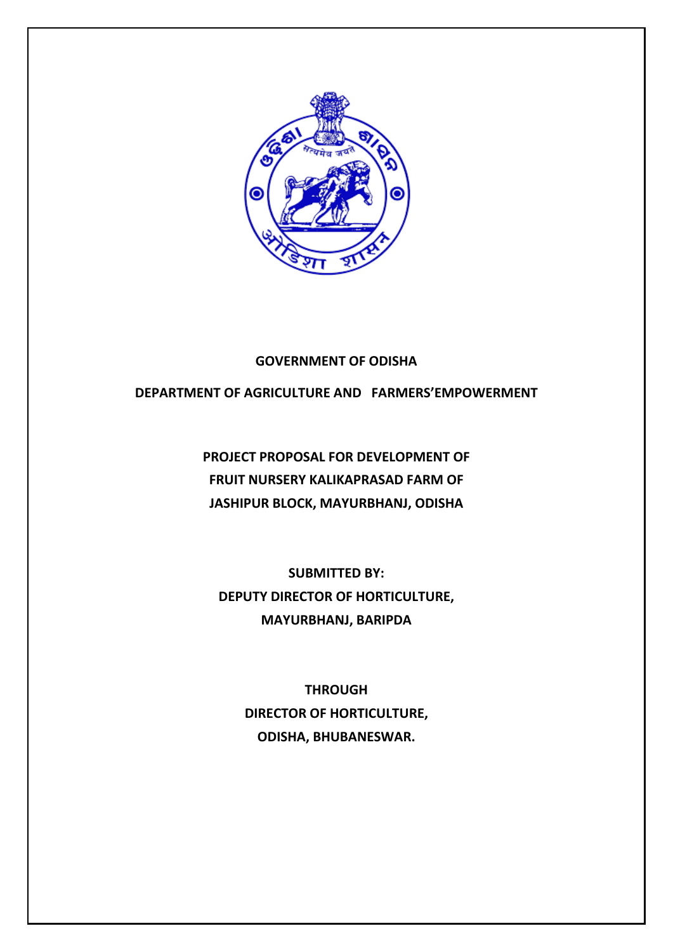

### **GOVERNMENT OF ODISHA**

# **DEPARTMENT OF AGRICULTURE AND FARMERS'EMPOWERMENT**

**PROJECT PROPOSAL FOR DEVELOPMENT OF FRUIT NURSERY KALIKAPRASAD FARM OF JASHIPUR BLOCK, MAYURBHANJ, ODISHA**

**SUBMITTED BY: DEPUTY DIRECTOR OF HORTICULTURE, MAYURBHANJ, BARIPDA**

> **THROUGH DIRECTOR OF HORTICULTURE, ODISHA, BHUBANESWAR.**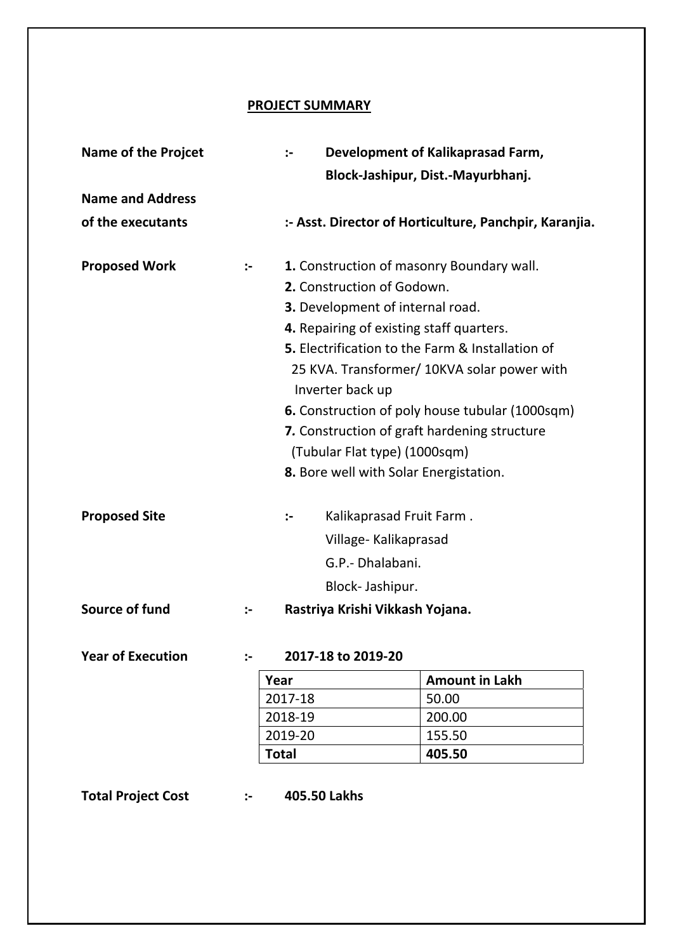## **PROJECT SUMMARY**

| <b>Name of the Projcet</b> | Development of Kalikaprasad Farm,<br>:- |                                              |                                                        |  |  |  |
|----------------------------|-----------------------------------------|----------------------------------------------|--------------------------------------------------------|--|--|--|
|                            |                                         | Block-Jashipur, Dist.-Mayurbhanj.            |                                                        |  |  |  |
| <b>Name and Address</b>    |                                         |                                              |                                                        |  |  |  |
| of the executants          |                                         |                                              | :- Asst. Director of Horticulture, Panchpir, Karanjia. |  |  |  |
| <b>Proposed Work</b>       | :-                                      | 1. Construction of masonry Boundary wall.    |                                                        |  |  |  |
|                            |                                         | 2. Construction of Godown.                   |                                                        |  |  |  |
|                            |                                         | <b>3.</b> Development of internal road.      |                                                        |  |  |  |
|                            |                                         | 4. Repairing of existing staff quarters.     |                                                        |  |  |  |
|                            |                                         |                                              | 5. Electrification to the Farm & Installation of       |  |  |  |
|                            |                                         | Inverter back up                             | 25 KVA. Transformer/ 10KVA solar power with            |  |  |  |
|                            |                                         |                                              | <b>6.</b> Construction of poly house tubular (1000sqm) |  |  |  |
|                            |                                         | 7. Construction of graft hardening structure |                                                        |  |  |  |
|                            |                                         | (Tubular Flat type) (1000sqm)                |                                                        |  |  |  |
|                            |                                         | 8. Bore well with Solar Energistation.       |                                                        |  |  |  |
|                            |                                         |                                              |                                                        |  |  |  |
| <b>Proposed Site</b>       |                                         | Kalikaprasad Fruit Farm.<br>$\mathbf{L}$     |                                                        |  |  |  |
|                            |                                         | Village-Kalikaprasad                         |                                                        |  |  |  |
|                            |                                         | G.P.- Dhalabani.                             |                                                        |  |  |  |
|                            |                                         | Block-Jashipur.                              |                                                        |  |  |  |
| Source of fund             | $\ddot{\phantom{1}}$                    | Rastriya Krishi Vikkash Yojana.              |                                                        |  |  |  |
| <b>Year of Execution</b>   | $\mathbf{L}$                            | 2017-18 to 2019-20                           |                                                        |  |  |  |
|                            |                                         | Year                                         | <b>Amount in Lakh</b>                                  |  |  |  |
|                            |                                         | 2017-18                                      | 50.00                                                  |  |  |  |
|                            |                                         | 2018-19                                      | 200.00                                                 |  |  |  |
|                            |                                         | 2019-20                                      | 155.50                                                 |  |  |  |
|                            |                                         | <b>Total</b>                                 | 405.50                                                 |  |  |  |
|                            |                                         |                                              |                                                        |  |  |  |

**Total Project Cost :‐ 405.50 Lakhs**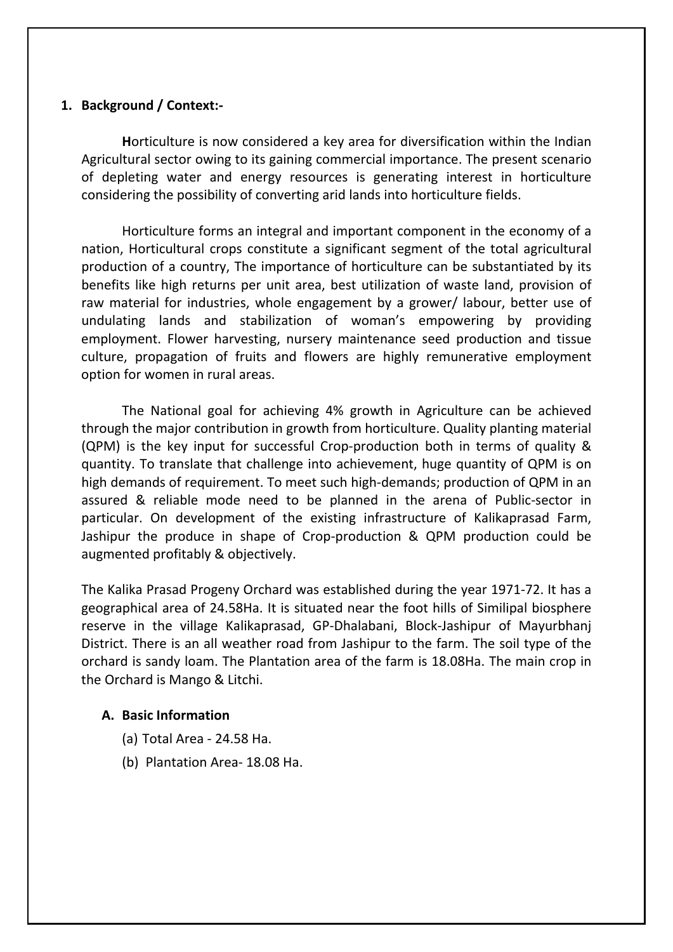## **1. Background / Context:‐**

**H**orticulture is now considered a key area for diversification within the Indian Agricultural sector owing to its gaining commercial importance. The present scenario of depleting water and energy resources is generating interest in horticulture considering the possibility of converting arid lands into horticulture fields.

Horticulture forms an integral and important component in the economy of a nation, Horticultural crops constitute a significant segment of the total agricultural production of a country, The importance of horticulture can be substantiated by its benefits like high returns per unit area, best utilization of waste land, provision of raw material for industries, whole engagement by a grower/ labour, better use of undulating lands and stabilization of woman's empowering by providing employment. Flower harvesting, nursery maintenance seed production and tissue culture, propagation of fruits and flowers are highly remunerative employment option for women in rural areas.

The National goal for achieving 4% growth in Agriculture can be achieved through the major contribution in growth from horticulture. Quality planting material (QPM) is the key input for successful Crop‐production both in terms of quality & quantity. To translate that challenge into achievement, huge quantity of QPM is on high demands of requirement. To meet such high-demands; production of QPM in an assured & reliable mode need to be planned in the arena of Public‐sector in particular. On development of the existing infrastructure of Kalikaprasad Farm, Jashipur the produce in shape of Crop‐production & QPM production could be augmented profitably & objectively.

The Kalika Prasad Progeny Orchard was established during the year 1971‐72. It has a geographical area of 24.58Ha. It is situated near the foot hills of Similipal biosphere reserve in the village Kalikaprasad, GP‐Dhalabani, Block‐Jashipur of Mayurbhanj District. There is an all weather road from Jashipur to the farm. The soil type of the orchard is sandy loam. The Plantation area of the farm is 18.08Ha. The main crop in the Orchard is Mango & Litchi.

## **A. Basic Information**

- (a) Total Area ‐ 24.58 Ha.
- (b) Plantation Area‐ 18.08 Ha.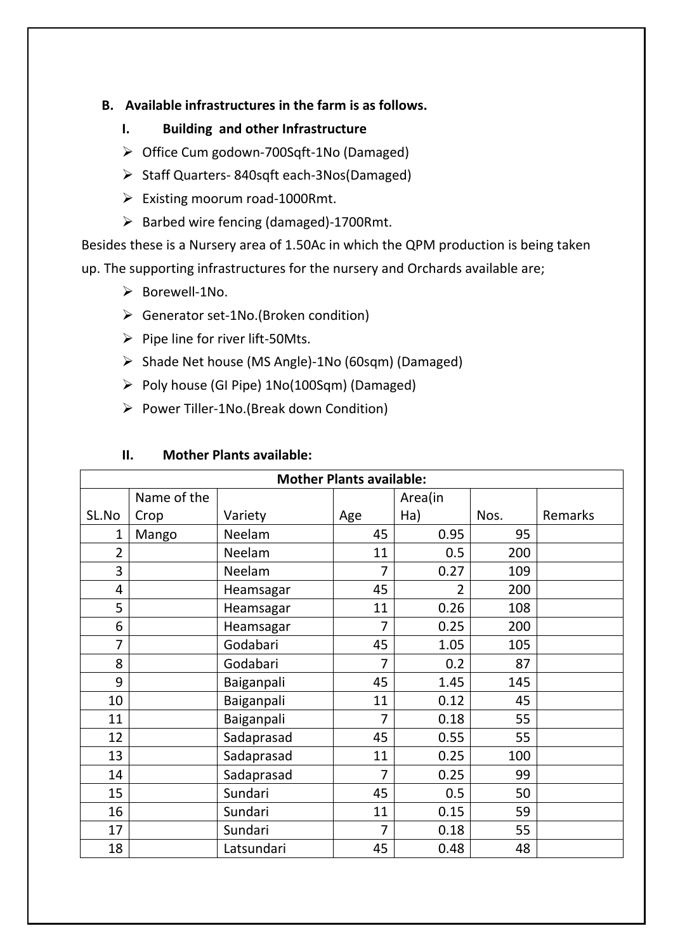# **B. Available infrastructures in the farm is as follows.**

- **I. Building and other Infrastructure**
- Office Cum godown‐700Sqft‐1No (Damaged)
- Staff Quarters‐ 840sqft each‐3Nos(Damaged)
- Existing moorum road‐1000Rmt.
- Barbed wire fencing (damaged)‐1700Rmt.

Besides these is a Nursery area of 1.50Ac in which the QPM production is being taken up. The supporting infrastructures for the nursery and Orchards available are;

- Borewell‐1No.
- Generator set‐1No.(Broken condition)
- Pipe line for river lift‐50Mts.
- Shade Net house (MS Angle)‐1No (60sqm) (Damaged)
- Poly house (GI Pipe) 1No(100Sqm) (Damaged)
- Power Tiller‐1No.(Break down Condition)

# **II. Mother Plants available:**

| <b>Mother Plants available:</b> |             |            |                |                |      |         |  |  |  |
|---------------------------------|-------------|------------|----------------|----------------|------|---------|--|--|--|
|                                 | Name of the |            |                | Area(in        |      |         |  |  |  |
| SL.No                           | Crop        | Variety    | Age            | Ha)            | Nos. | Remarks |  |  |  |
| 1                               | Mango       | Neelam     | 45             | 0.95           | 95   |         |  |  |  |
| $\overline{2}$                  |             | Neelam     | 11             | 0.5            | 200  |         |  |  |  |
| 3                               |             | Neelam     | 7              | 0.27           | 109  |         |  |  |  |
| 4                               |             | Heamsagar  | 45             | $\overline{2}$ | 200  |         |  |  |  |
| 5                               |             | Heamsagar  | 11             | 0.26           | 108  |         |  |  |  |
| 6                               |             | Heamsagar  | $\overline{7}$ | 0.25           | 200  |         |  |  |  |
| 7                               |             | Godabari   | 45             | 1.05           | 105  |         |  |  |  |
| 8                               |             | Godabari   | 7              | 0.2            | 87   |         |  |  |  |
| 9                               |             | Baiganpali | 45             | 1.45           | 145  |         |  |  |  |
| 10                              |             | Baiganpali | 11             | 0.12           | 45   |         |  |  |  |
| 11                              |             | Baiganpali | $\overline{7}$ | 0.18           | 55   |         |  |  |  |
| 12                              |             | Sadaprasad | 45             | 0.55           | 55   |         |  |  |  |
| 13                              |             | Sadaprasad | 11             | 0.25           | 100  |         |  |  |  |
| 14                              |             | Sadaprasad | $\overline{7}$ | 0.25           | 99   |         |  |  |  |
| 15                              |             | Sundari    | 45             | 0.5            | 50   |         |  |  |  |
| 16                              |             | Sundari    | 11             | 0.15           | 59   |         |  |  |  |
| 17                              |             | Sundari    | $\overline{7}$ | 0.18           | 55   |         |  |  |  |
| 18                              |             | Latsundari | 45             | 0.48           | 48   |         |  |  |  |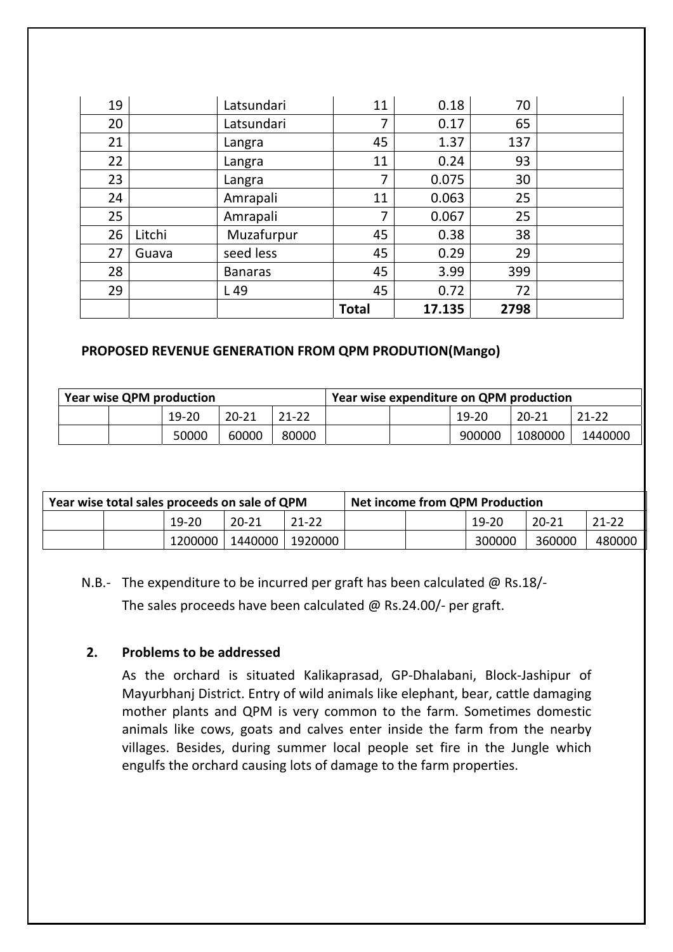| 19 |        | Latsundari     | 11           | 0.18   | 70   |  |
|----|--------|----------------|--------------|--------|------|--|
| 20 |        | Latsundari     | 7            | 0.17   | 65   |  |
| 21 |        | Langra         | 45           | 1.37   | 137  |  |
| 22 |        | Langra         | 11           | 0.24   | 93   |  |
| 23 |        | Langra         | 7            | 0.075  | 30   |  |
| 24 |        | Amrapali       | 11           | 0.063  | 25   |  |
| 25 |        | Amrapali       | 7            | 0.067  | 25   |  |
| 26 | Litchi | Muzafurpur     | 45           | 0.38   | 38   |  |
| 27 | Guava  | seed less      | 45           | 0.29   | 29   |  |
| 28 |        | <b>Banaras</b> | 45           | 3.99   | 399  |  |
| 29 |        | L 49           | 45           | 0.72   | 72   |  |
|    |        |                | <b>Total</b> | 17.135 | 2798 |  |

# **PROPOSED REVENUE GENERATION FROM QPM PRODUTION(Mango)**

| <b>Year wise QPM production</b> |  |       |           | Year wise expenditure on QPM production |  |  |         |           |           |
|---------------------------------|--|-------|-----------|-----------------------------------------|--|--|---------|-----------|-----------|
|                                 |  | 19-20 | $20 - 21$ | 21-22                                   |  |  | $19-20$ | $20 - 21$ | $21 - 22$ |
|                                 |  | 50000 | 60000     | 80000                                   |  |  | 900000  | 1080000   | 1440000   |

| Year wise total sales proceeds on sale of QPM |  |           | <b>Net income from QPM Production</b> |           |  |  |           |           |           |
|-----------------------------------------------|--|-----------|---------------------------------------|-----------|--|--|-----------|-----------|-----------|
|                                               |  | $19 - 20$ | 20 21                                 | $21 - 22$ |  |  | $19 - 20$ | $20 - 21$ | $21 - 22$ |
|                                               |  | 1200000   | 1440000                               | 1920000   |  |  | 300000    | 360000    | 480000    |

N.B.‐ The expenditure to be incurred per graft has been calculated @ Rs.18/‐

The sales proceeds have been calculated @ Rs.24.00/‐ per graft.

# **2. Problems to be addressed**

As the orchard is situated Kalikaprasad, GP‐Dhalabani, Block‐Jashipur of Mayurbhanj District. Entry of wild animals like elephant, bear, cattle damaging mother plants and QPM is very common to the farm. Sometimes domestic animals like cows, goats and calves enter inside the farm from the nearby villages. Besides, during summer local people set fire in the Jungle which engulfs the orchard causing lots of damage to the farm properties.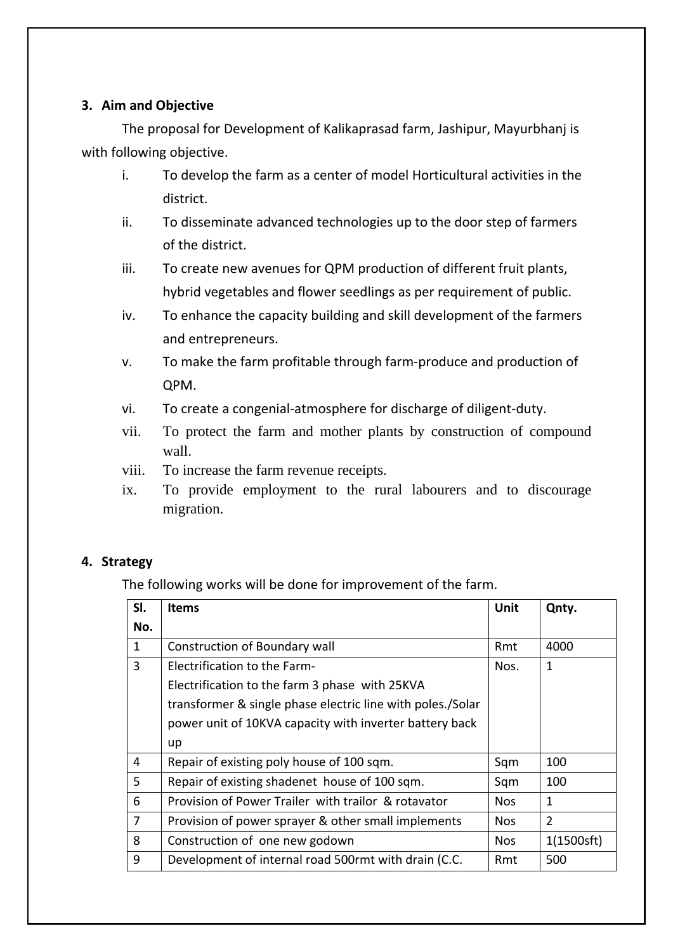# **3. Aim and Objective**

The proposal for Development of Kalikaprasad farm, Jashipur, Mayurbhanj is with following objective.

- i. To develop the farm as a center of model Horticultural activities in the district.
- ii. To disseminate advanced technologies up to the door step of farmers of the district.
- iii. To create new avenues for QPM production of different fruit plants, hybrid vegetables and flower seedlings as per requirement of public.
- iv. To enhance the capacity building and skill development of the farmers and entrepreneurs.
- v. To make the farm profitable through farm‐produce and production of QPM.
- vi. To create a congenial‐atmosphere for discharge of diligent‐duty.
- vii. To protect the farm and mother plants by construction of compound wall.
- viii. To increase the farm revenue receipts.
- ix. To provide employment to the rural labourers and to discourage migration.

# **4. Strategy**

The following works will be done for improvement of the farm.

| SI.          | <b>Items</b>                                               | Unit       | Qnty.      |
|--------------|------------------------------------------------------------|------------|------------|
| No.          |                                                            |            |            |
| $\mathbf{1}$ | Construction of Boundary wall                              | Rmt        | 4000       |
| 3            | <b>Electrification to the Farm-</b>                        | Nos.       | 1          |
|              | Electrification to the farm 3 phase with 25KVA             |            |            |
|              | transformer & single phase electric line with poles./Solar |            |            |
|              | power unit of 10KVA capacity with inverter battery back    |            |            |
|              | up                                                         |            |            |
| 4            | Repair of existing poly house of 100 sqm.                  | Sqm        | 100        |
| 5            | Repair of existing shadenet house of 100 sqm.              | Sqm        | 100        |
| 6            | Provision of Power Trailer with trailor & rotavator        | <b>Nos</b> | 1          |
| 7            | Provision of power sprayer & other small implements        | <b>Nos</b> | 2          |
| 8            | Construction of one new godown                             | <b>Nos</b> | 1(1500sft) |
| 9            | Development of internal road 500rmt with drain (C.C.       | Rmt        | 500        |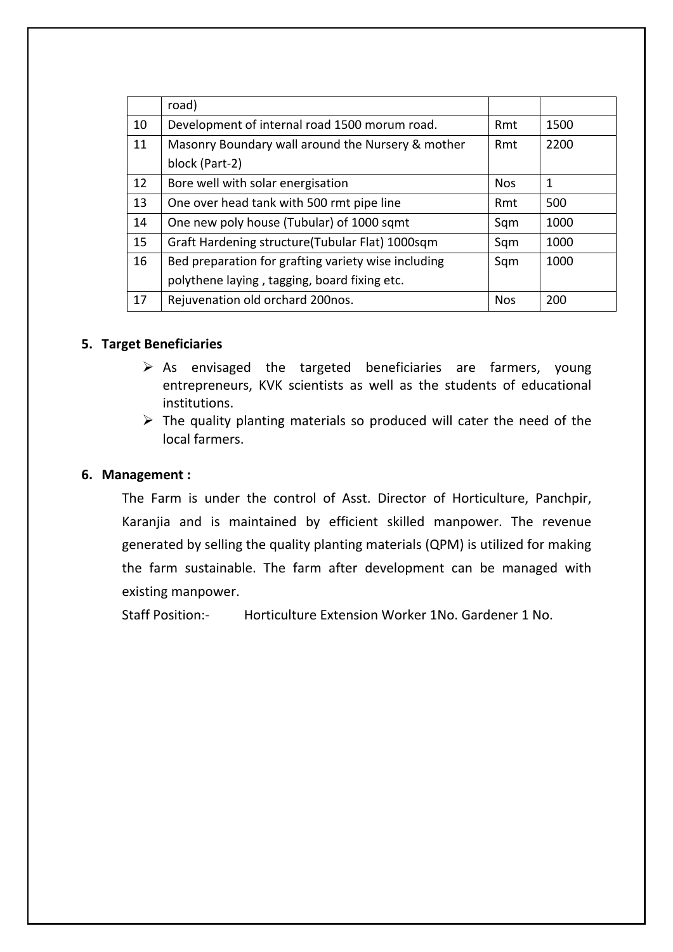|    | road)                                               |            |      |
|----|-----------------------------------------------------|------------|------|
| 10 | Development of internal road 1500 morum road.       | Rmt        | 1500 |
| 11 | Masonry Boundary wall around the Nursery & mother   | Rmt        | 2200 |
|    | block (Part-2)                                      |            |      |
| 12 | Bore well with solar energisation                   | <b>Nos</b> | 1    |
| 13 | One over head tank with 500 rmt pipe line           | Rmt        | 500  |
| 14 | One new poly house (Tubular) of 1000 sqmt           | Sqm        | 1000 |
| 15 | Graft Hardening structure(Tubular Flat) 1000sqm     | Sqm        | 1000 |
| 16 | Bed preparation for grafting variety wise including | Sqm        | 1000 |
|    | polythene laying, tagging, board fixing etc.        |            |      |
| 17 | Rejuvenation old orchard 200nos.                    | <b>Nos</b> | 200  |

## **5. Target Beneficiaries**

- $\triangleright$  As envisaged the targeted beneficiaries are farmers, young entrepreneurs, KVK scientists as well as the students of educational institutions.
- $\triangleright$  The quality planting materials so produced will cater the need of the local farmers.

# **6. Management :**

The Farm is under the control of Asst. Director of Horticulture, Panchpir, Karanjia and is maintained by efficient skilled manpower. The revenue generated by selling the quality planting materials (QPM) is utilized for making the farm sustainable. The farm after development can be managed with existing manpower.

Staff Position:‐ Horticulture Extension Worker 1No. Gardener 1 No.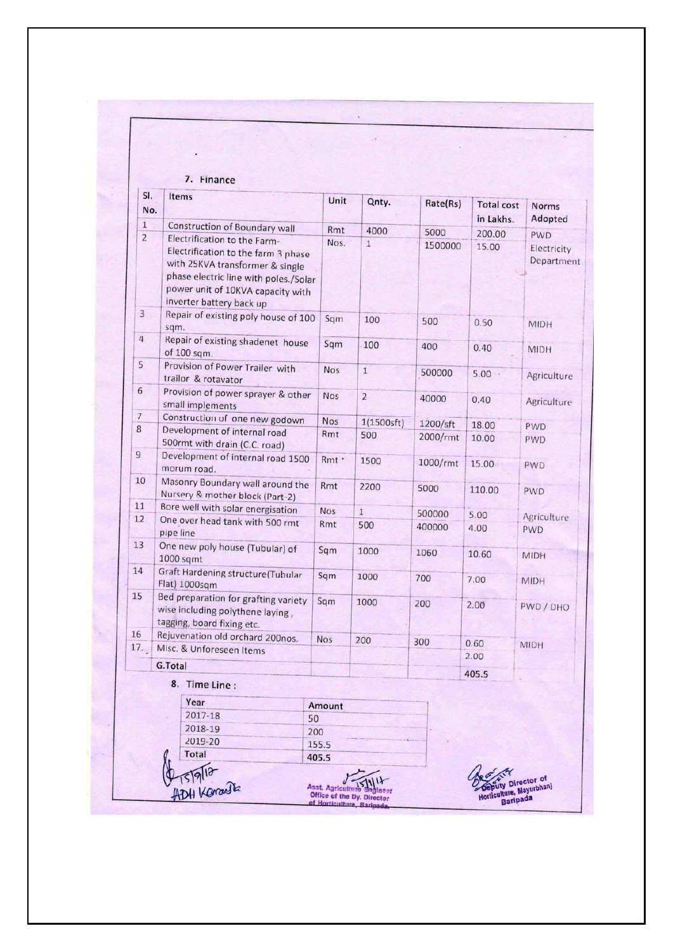| SI.<br>No.                                                         | Items                                                                                                                                                                                                            | Unit       | Qnty.          | Rate(Rs) | <b>Total cost</b><br>in Lakhs. | <b>Norms</b><br>Adopted   |  |
|--------------------------------------------------------------------|------------------------------------------------------------------------------------------------------------------------------------------------------------------------------------------------------------------|------------|----------------|----------|--------------------------------|---------------------------|--|
| 1                                                                  | Construction of Boundary wall                                                                                                                                                                                    | Rmt        | 4000           | 5000     | 200.00                         | <b>PWD</b>                |  |
| $\overline{2}$                                                     | Electrification to the Farm-<br>Electrification to the farm 3 phase<br>with 25KVA transformer & single<br>phase electric line with poles./Solar<br>power unit of 10KVA capacity with<br>inverter battery back up | Nos.       | $\mathbf{1}$   | 1500000  | 15.00                          | Electricity<br>Department |  |
| $\overline{3}$                                                     | Repair of existing poly house of 100<br>sqm.                                                                                                                                                                     | Sqm        | 100            | 500      | 0.50                           | <b>MIDH</b>               |  |
| $\overline{4}$                                                     | Repair of existing shadenet house<br>of 100 sqm.                                                                                                                                                                 | Sqm        | 100            | 400      | 0.40                           | <b>MIDH</b>               |  |
| 5                                                                  | Provision of Power Trailer with<br>trailor & rotavator                                                                                                                                                           | <b>Nos</b> | $\overline{1}$ | 500000   | $5.00 -$                       | Agriculture               |  |
| 6                                                                  | Provision of power sprayer & other<br>small implements                                                                                                                                                           | <b>Nos</b> | $\overline{2}$ | 40000    | 0.40                           | Agriculture               |  |
| $\overline{7}$                                                     | Construction of one new godown                                                                                                                                                                                   | <b>Nos</b> | 1(1500sft)     | 1200/sft | 18.00                          | <b>PWD</b>                |  |
| 8                                                                  | Development of internal road<br>500rmt with drain (C.C. road)                                                                                                                                                    | Rmt        | 500            | 2000/rmt | 10.00                          | <b>PWD</b>                |  |
| $\overline{9}$                                                     | Development of internal road 1500<br>morum road.                                                                                                                                                                 | Rmt ·      | 1500           | 1000/rmt | 15.00                          | <b>PWD</b>                |  |
| 10                                                                 | Masonry Boundary wall around the<br>Nursery & mother block (Part-2)                                                                                                                                              | Rmt        | 2200           | 5000     | 110.00                         | PWD                       |  |
| 11                                                                 | Bore well with solar energisation                                                                                                                                                                                | <b>Nos</b> | $\mathbf{1}$   | 500000   | 5.00                           | Agriculture               |  |
| 12                                                                 | One over head tank with 500 rmt<br>pipe line                                                                                                                                                                     | Rmt        | 500            | 400000   | 4.00                           | <b>PWD</b>                |  |
| 13                                                                 | One new poly house (Tubular) of<br>1000 sqmt                                                                                                                                                                     | Sqm        | 1000           | 1060     | 10.60                          | <b>MIDH</b>               |  |
| 14                                                                 | Graft Hardening structure(Tubular<br>Flat) 1000sgm                                                                                                                                                               | Sqm        | 1000           | 700      | 7.00                           | <b>MIDH</b>               |  |
| 15                                                                 | Bed preparation for grafting variety<br>wise including polythene laying,<br>tagging, board fixing etc.                                                                                                           | Sqm        | 1000           | 200      | 2.00                           | PWD / DHO                 |  |
| 16                                                                 | Rejuvenation old orchard 200nos.                                                                                                                                                                                 | <b>Nos</b> | 200            | 300      | 0.60                           | <b>MIDH</b>               |  |
| 17.                                                                | Misc. & Unforeseen Items                                                                                                                                                                                         |            |                |          | 2.00                           |                           |  |
|                                                                    | G.Total                                                                                                                                                                                                          |            |                |          | 405.5                          |                           |  |
|                                                                    | 8. Time Line :                                                                                                                                                                                                   |            |                |          |                                |                           |  |
|                                                                    | Year                                                                                                                                                                                                             | Amount     |                |          |                                |                           |  |
|                                                                    | 2017-18                                                                                                                                                                                                          | 50         |                |          |                                |                           |  |
|                                                                    | 2018-19                                                                                                                                                                                                          | 200        |                |          |                                |                           |  |
|                                                                    | 2019-20                                                                                                                                                                                                          | 155.5      |                |          |                                |                           |  |
|                                                                    | Total                                                                                                                                                                                                            | 405.5      |                |          |                                |                           |  |
| PTS19112<br>ADH Koradia<br>Director of<br>Horticulture, Mayurbhanj |                                                                                                                                                                                                                  |            |                |          |                                |                           |  |

J.

s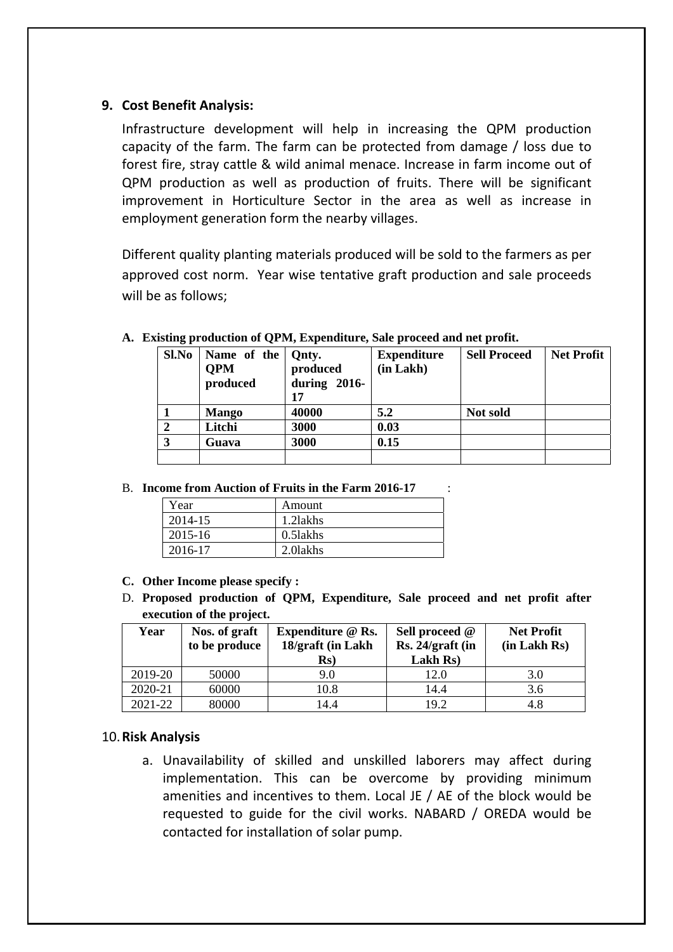## **9. Cost Benefit Analysis:**

Infrastructure development will help in increasing the QPM production capacity of the farm. The farm can be protected from damage / loss due to forest fire, stray cattle & wild animal menace. Increase in farm income out of QPM production as well as production of fruits. There will be significant improvement in Horticulture Sector in the area as well as increase in employment generation form the nearby villages.

Different quality planting materials produced will be sold to the farmers as per approved cost norm. Year wise tentative graft production and sale proceeds will be as follows;

| Sl.No | Name of the<br><b>OPM</b><br>produced | Qnty.<br>produced<br>during $2016$ -<br>17 | <b>Expenditure</b><br>(in Lakh) | <b>Sell Proceed</b> | <b>Net Profit</b> |
|-------|---------------------------------------|--------------------------------------------|---------------------------------|---------------------|-------------------|
|       | <b>Mango</b>                          | 40000                                      | 5.2                             | Not sold            |                   |
|       | Litchi                                | 3000                                       | 0.03                            |                     |                   |
| 3     | Guava                                 | 3000                                       | 0.15                            |                     |                   |
|       |                                       |                                            |                                 |                     |                   |

**A. Existing production of QPM, Expenditure, Sale proceed and net profit.** 

B. **Income from Auction of Fruits in the Farm 2016-17** :

| Year    | Amount      |
|---------|-------------|
| 2014-15 | 1.2 lakhs   |
| 2015-16 | $0.5$ lakhs |
| 2016-17 | 2.0 lakhs   |

- **C. Other Income please specify :**
- D. **Proposed production of QPM, Expenditure, Sale proceed and net profit after execution of the project.**

| Year    | Nos. of graft<br>to be produce | Expenditure @ Rs.<br>18/graft (in Lakh<br>$\mathbf{R}s$ | Sell proceed @<br>Rs. 24/graft (in<br>Lakh Rs) | <b>Net Profit</b><br>(in Lakh Rs) |
|---------|--------------------------------|---------------------------------------------------------|------------------------------------------------|-----------------------------------|
| 2019-20 | 50000                          | 9.0                                                     | 12.0                                           | 3.0                               |
| 2020-21 | 60000                          | 10.8                                                    | 14.4                                           | 3.6                               |
| 2021-22 | 80000                          | 14.4                                                    | 19.2                                           | 4.8                               |

## 10.**Risk Analysis**

a. Unavailability of skilled and unskilled laborers may affect during implementation. This can be overcome by providing minimum amenities and incentives to them. Local JE / AE of the block would be requested to guide for the civil works. NABARD / OREDA would be contacted for installation of solar pump.